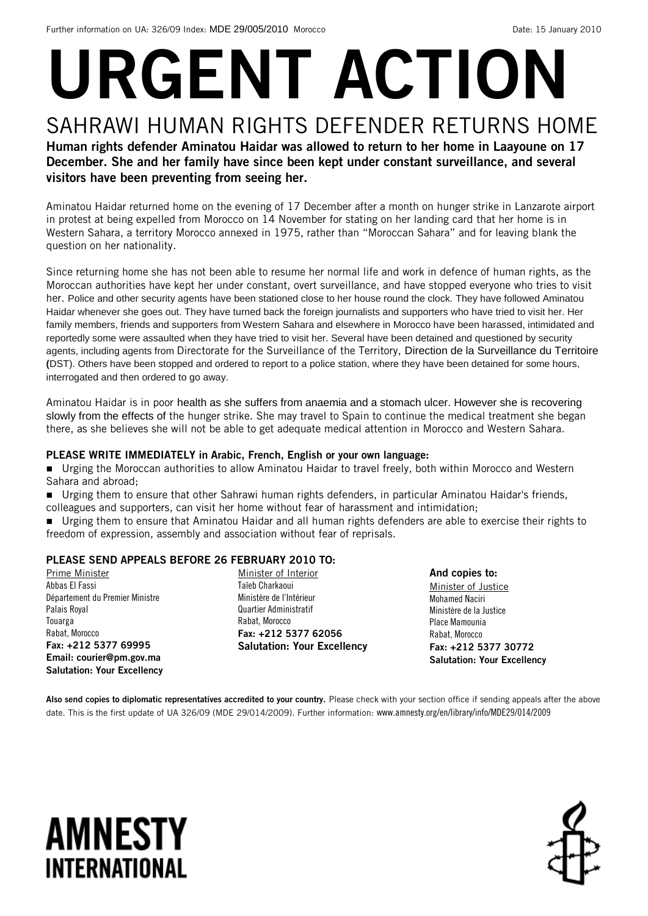# URGENT ACTION SAHRAWI HUMAN RIGHTS DEFENDER RETURNS HOME

### Human rights defender Aminatou Haidar was allowed to return to her home in Laayoune on 17 December. She and her family have since been kept under constant surveillance, and several visitors have been preventing from seeing her.

Aminatou Haidar returned home on the evening of 17 December after a month on hunger strike in Lanzarote airport in protest at being expelled from Morocco on 14 November for stating on her landing card that her home is in Western Sahara, a territory Morocco annexed in 1975, rather than "Moroccan Sahara" and for leaving blank the question on her nationality.

Since returning home she has not been able to resume her normal life and work in defence of human rights, as the Moroccan authorities have kept her under constant, overt surveillance, and have stopped everyone who tries to visit her. Police and other security agents have been stationed close to her house round the clock. They have followed Aminatou Haidar whenever she goes out. They have turned back the foreign journalists and supporters who have tried to visit her. Her family members, friends and supporters from Western Sahara and elsewhere in Morocco have been harassed, intimidated and reportedly some were assaulted when they have tried to visit her. Several have been detained and questioned by security agents, including agents from Directorate for the Surveillance of the Territory, Direction de la Surveillance du Territoire **(**DST). Others have been stopped and ordered to report to a police station, where they have been detained for some hours, interrogated and then ordered to go away.

Aminatou Haidar is in poor health as she suffers from anaemia and a stomach ulcer. However she is recovering slowly from the effects of the hunger strike. She may travel to Spain to continue the medical treatment she began there, as she believes she will not be able to get adequate medical attention in Morocco and Western Sahara.

#### PLEASE WRITE IMMEDIATELY in Arabic, French, English or your own language:

 Urging the Moroccan authorities to allow Aminatou Haidar to travel freely, both within Morocco and Western Sahara and abroad;

 Urging them to ensure that other Sahrawi human rights defenders, in particular Aminatou Haidar's friends, colleagues and supporters, can visit her home without fear of harassment and intimidation;

 Urging them to ensure that Aminatou Haidar and all human rights defenders are able to exercise their rights to freedom of expression, assembly and association without fear of reprisals.

#### PLEASE SEND APPEALS BEFORE 26 FEBRUARY 2010 TO:

Prime Minister Abbas El Fassi Département du Premier Ministre Palais Royal Touarga Rabat, Morocco Fax: +212 5377 69995 Email: courier@pm.gov.ma Salutation: Your Excellency Minister of Interior Taïeb Charkaoui Ministère de l'Intérieur Quartier Administratif Rabat, Morocco Fax: +212 5377 62056 Salutation: Your Excellency

And copies to: Minister of Justice Mohamed Naciri Ministère de la Justice Place Mamounia Rabat, Morocco Fax: +212 5377 30772 Salutation: Your Excellency

Also send copies to diplomatic representatives accredited to your country. Please check with your section office if sending appeals after the above date. This is the first update of UA 326/09 (MDE 29/014/2009). Further information: www.amnesty.org/en/library/info/MDE29/014/2009